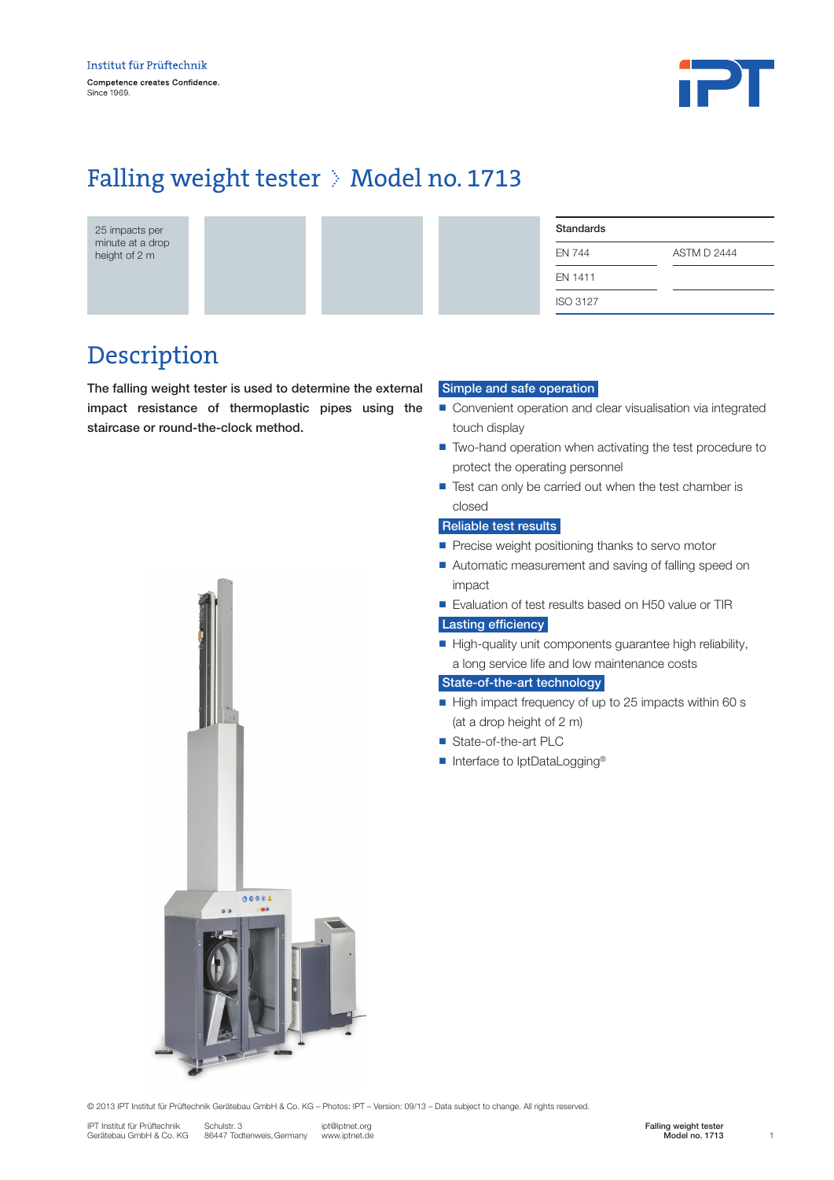

# Falling weight tester > Model no. 1713

25 impacts per minute at a drop height of 2 m

| <b>Standards</b> |                    |
|------------------|--------------------|
| <b>EN 744</b>    | <b>ASTM D 2444</b> |
| EN 1411          |                    |
| <b>ISO 3127</b>  |                    |

## Description

The falling weight tester is used to determine the external impact resistance of thermoplastic pipes using the staircase or round-the-clock method.

### Simple and safe operation

- Convenient operation and clear visualisation via integrated touch display
- Two-hand operation when activating the test procedure to protect the operating personnel
- $\blacksquare$  Test can only be carried out when the test chamber is closed

### Reliable test results

- $\blacksquare$  Precise weight positioning thanks to servo motor
- Automatic measurement and saving of falling speed on impact
- Evaluation of test results based on H50 value or TIR

### Lasting efficiency

High-quality unit components guarantee high reliability, a long service life and low maintenance costs

### State-of-the-art technology

- High impact frequency of up to 25 impacts within 60 s (at a drop height of 2 m)
- State-of-the-art PLC
- Interface to IptDataLogging<sup>®</sup>



© 2013 IPT Institut für Prüftechnik Gerätebau GmbH & Co. KG – Photos: IPT – Version: 09/13 – Data subject to change. All rights reserved.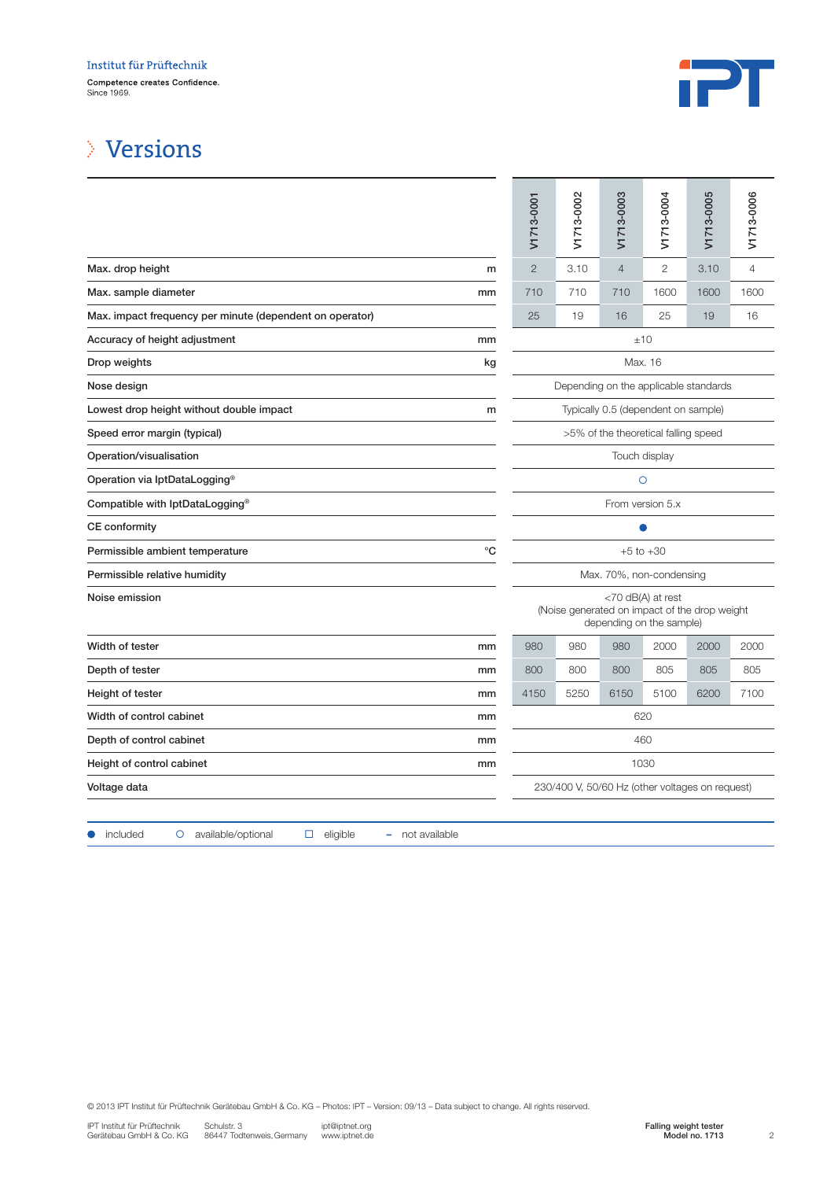

## Versions

|                                                          |             | V171                                                                                           | V171 | V171           | yizi         | V171 | V171 |  |  |  |
|----------------------------------------------------------|-------------|------------------------------------------------------------------------------------------------|------|----------------|--------------|------|------|--|--|--|
| Max. drop height                                         | m           | $\mathbf{2}$                                                                                   | 3.10 | $\overline{4}$ | $\mathbf{2}$ | 3.10 | 4    |  |  |  |
| Max. sample diameter                                     | mm          | 710                                                                                            | 710  | 710            | 1600         | 1600 | 1600 |  |  |  |
| Max. impact frequency per minute (dependent on operator) |             | 25                                                                                             | 19   | 16             | 25           | 19   | 16   |  |  |  |
| Accuracy of height adjustment                            | mm          | ±10                                                                                            |      |                |              |      |      |  |  |  |
| Drop weights                                             | kg          | Max. 16                                                                                        |      |                |              |      |      |  |  |  |
| Nose design                                              |             | Depending on the applicable standards                                                          |      |                |              |      |      |  |  |  |
| Lowest drop height without double impact                 | m           | Typically 0.5 (dependent on sample)                                                            |      |                |              |      |      |  |  |  |
| Speed error margin (typical)                             |             | >5% of the theoretical falling speed                                                           |      |                |              |      |      |  |  |  |
| Operation/visualisation                                  |             | Touch display                                                                                  |      |                |              |      |      |  |  |  |
| Operation via IptDataLogging <sup>®</sup>                |             | $\circ$                                                                                        |      |                |              |      |      |  |  |  |
| Compatible with IptDataLogging <sup>®</sup>              |             | From version 5.x                                                                               |      |                |              |      |      |  |  |  |
| <b>CE</b> conformity                                     |             | 0                                                                                              |      |                |              |      |      |  |  |  |
| Permissible ambient temperature                          | $^{\circ}C$ | $+5$ to $+30$                                                                                  |      |                |              |      |      |  |  |  |
| Permissible relative humidity                            |             | Max. 70%, non-condensing                                                                       |      |                |              |      |      |  |  |  |
| Noise emission                                           |             | <70 dB(A) at rest<br>(Noise generated on impact of the drop weight<br>depending on the sample) |      |                |              |      |      |  |  |  |
| Width of tester                                          | mm          | 980                                                                                            | 980  | 980            | 2000         | 2000 | 2000 |  |  |  |
| Depth of tester                                          | mm          | 800                                                                                            | 800  | 800            | 805          | 805  | 805  |  |  |  |
| Height of tester                                         | mm          | 4150                                                                                           | 5250 | 6150           | 5100         | 6200 | 7100 |  |  |  |
| Width of control cabinet                                 | mm          | 620                                                                                            |      |                |              |      |      |  |  |  |
| Depth of control cabinet                                 | mm          | 460                                                                                            |      |                |              |      |      |  |  |  |
| Height of control cabinet                                | mm          | 1030                                                                                           |      |                |              |      |      |  |  |  |
| Voltage data                                             |             | 230/400 V, 50/60 Hz (other voltages on request)                                                |      |                |              |      |      |  |  |  |
|                                                          |             |                                                                                                |      |                |              |      |      |  |  |  |

|                                                                             | V1713-0001                                                                                     | V1713-0002 | V1713-0003     | V1713-0004            | V1713-0005     | V1713-0006     |  |  |  |
|-----------------------------------------------------------------------------|------------------------------------------------------------------------------------------------|------------|----------------|-----------------------|----------------|----------------|--|--|--|
| m                                                                           | $\overline{2}$                                                                                 | 3.10       | $\overline{4}$ | 2                     | 3.10           | $\overline{4}$ |  |  |  |
| mm                                                                          | 710                                                                                            | 710        | 710            | 1600                  | 1600           | 1600           |  |  |  |
| n operator)                                                                 | 25                                                                                             | 19         | 16             | 25                    | 19             | 16             |  |  |  |
| mm                                                                          | ±10                                                                                            |            |                |                       |                |                |  |  |  |
| kg                                                                          | Max. 16                                                                                        |            |                |                       |                |                |  |  |  |
|                                                                             | Depending on the applicable standards                                                          |            |                |                       |                |                |  |  |  |
| m                                                                           | Typically 0.5 (dependent on sample)                                                            |            |                |                       |                |                |  |  |  |
|                                                                             | >5% of the theoretical falling speed                                                           |            |                |                       |                |                |  |  |  |
|                                                                             | Touch display                                                                                  |            |                |                       |                |                |  |  |  |
|                                                                             |                                                                                                |            |                | $\circ$               |                |                |  |  |  |
|                                                                             |                                                                                                |            |                | From version 5.x      |                |                |  |  |  |
|                                                                             |                                                                                                |            |                |                       |                |                |  |  |  |
| $^{\circ}C$                                                                 | $+5$ to $+30$                                                                                  |            |                |                       |                |                |  |  |  |
|                                                                             | Max. 70%, non-condensing                                                                       |            |                |                       |                |                |  |  |  |
|                                                                             | <70 dB(A) at rest<br>(Noise generated on impact of the drop weight<br>depending on the sample) |            |                |                       |                |                |  |  |  |
| mm                                                                          | 980                                                                                            | 980        | 980            | 2000                  | 2000           | 2000           |  |  |  |
| mm                                                                          | 800                                                                                            | 800        | 800            | 805                   | 805            | 805            |  |  |  |
| mm                                                                          | 4150                                                                                           | 5250       | 6150           | 5100                  | 6200           | 7100           |  |  |  |
| mm                                                                          | 620                                                                                            |            |                |                       |                |                |  |  |  |
| mm                                                                          | 460                                                                                            |            |                |                       |                |                |  |  |  |
| mm                                                                          |                                                                                                |            |                | 1030                  |                |                |  |  |  |
|                                                                             | 230/400 V, 50/60 Hz (other voltages on request)                                                |            |                |                       |                |                |  |  |  |
|                                                                             |                                                                                                |            |                |                       |                |                |  |  |  |
| eligible<br>not available<br>۰                                              |                                                                                                |            |                |                       |                |                |  |  |  |
| Photos: IPT - Version: 09/13 - Data subject to change. All rights reserved. |                                                                                                |            |                |                       |                |                |  |  |  |
| ipt@iptnet.org<br>www.iptnet.de                                             |                                                                                                |            |                | Falling weight tester | Model no. 1713 | $\overline{c}$ |  |  |  |

● included o available/optional □ eligible – not available

© 2013 IPT Institut für Prüftechnik Gerätebau GmbH & Co. KG – Photos: IPT – Version: 09/13 – Data subject to change. All rights reserved.